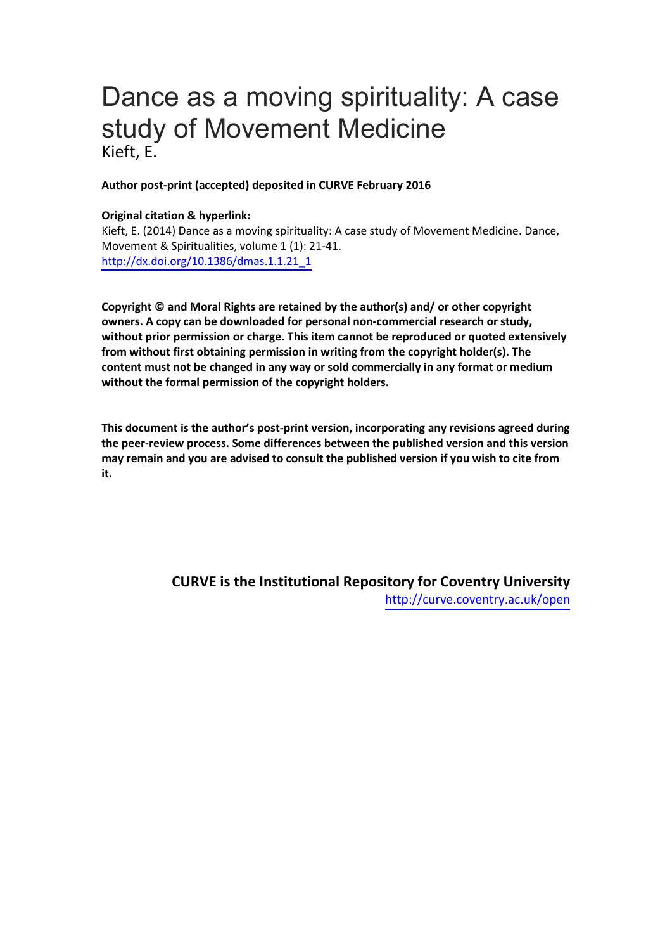# Dance as a moving spirituality: A case study of Movement Medicine Kieft, E.

## **Author post-print (accepted) deposited in CURVE February 2016**

## **Original citation & hyperlink:**

Kieft, E. (2014) Dance as a moving spirituality: A case study of Movement Medicine. Dance, Movement & Spiritualities, volume 1 (1): 21-41. [http://dx.doi.org/10.1386/dmas.1.1.21\\_1](http://dx.doi.org/10.1386/dmas.1.1.21_1)

**Copyright © and Moral Rights are retained by the author(s) and/ or other copyright owners. A copy can be downloaded for personal non-commercial research or study, without prior permission or charge. This item cannot be reproduced or quoted extensively from without first obtaining permission in writing from the copyright holder(s). The content must not be changed in any way or sold commercially in any format or medium without the formal permission of the copyright holders.** 

**This document is the author's post-print version, incorporating any revisions agreed during the peer-review process. Some differences between the published version and this version may remain and you are advised to consult the published version if you wish to cite from it.** 

> **CURVE is the Institutional Repository for Coventry University** <http://curve.coventry.ac.uk/open>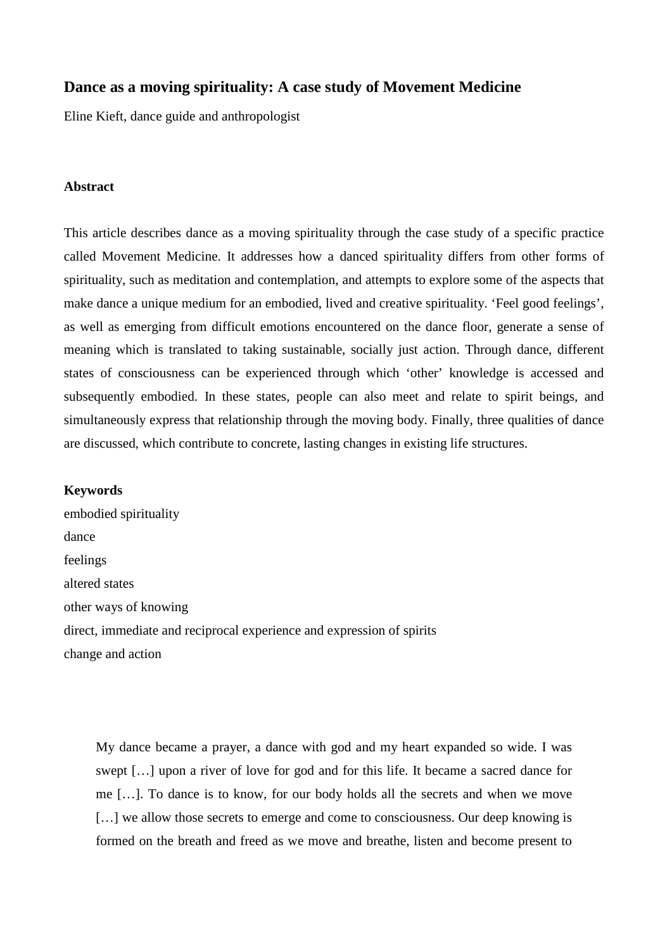# **Dance as a moving spirituality: A case study of Movement Medicine**

Eline Kieft, dance guide and anthropologist

## **Abstract**

This article describes dance as a moving spirituality through the case study of a specific practice called Movement Medicine. It addresses how a danced spirituality differs from other forms of spirituality, such as meditation and contemplation, and attempts to explore some of the aspects that make dance a unique medium for an embodied, lived and creative spirituality. 'Feel good feelings', as well as emerging from difficult emotions encountered on the dance floor, generate a sense of meaning which is translated to taking sustainable, socially just action. Through dance, different states of consciousness can be experienced through which 'other' knowledge is accessed and subsequently embodied. In these states, people can also meet and relate to spirit beings, and simultaneously express that relationship through the moving body. Finally, three qualities of dance are discussed, which contribute to concrete, lasting changes in existing life structures.

## **Keywords**

embodied spirituality dance feelings altered states other ways of knowing direct, immediate and reciprocal experience and expression of spirits change and action

My dance became a prayer, a dance with god and my heart expanded so wide. I was swept […] upon a river of love for god and for this life. It became a sacred dance for me […]. To dance is to know, for our body holds all the secrets and when we move [...] we allow those secrets to emerge and come to consciousness. Our deep knowing is formed on the breath and freed as we move and breathe, listen and become present to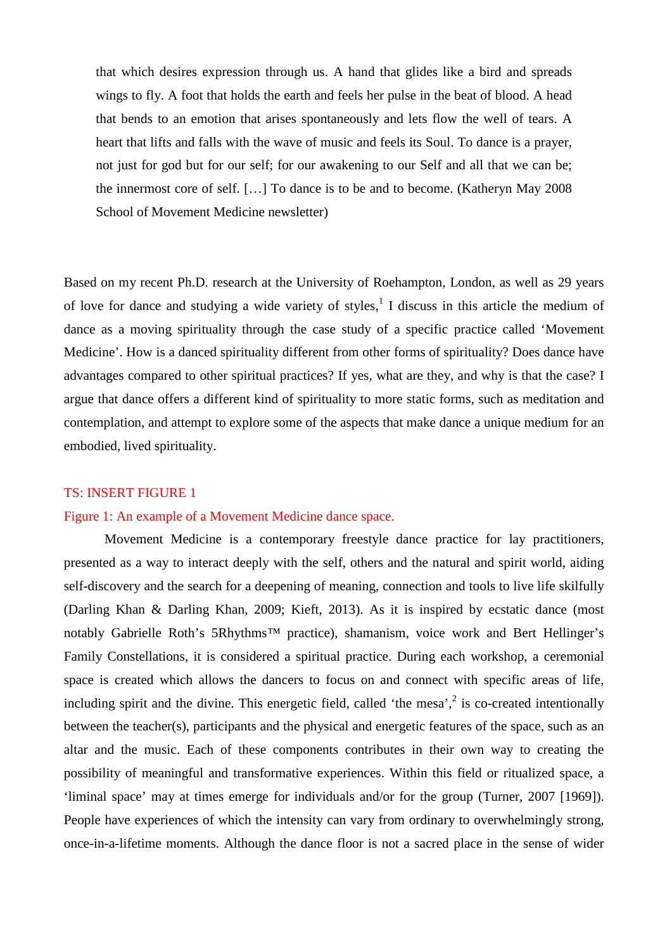that which desires expression through us. A hand that glides like a bird and spreads wings to fly. A foot that holds the earth and feels her pulse in the beat of blood. A head that bends to an emotion that arises spontaneously and lets flow the well of tears. A heart that lifts and falls with the wave of music and feels its Soul. To dance is a prayer, not just for god but for our self; for our awakening to our Self and all that we can be; the innermost core of self. […] To dance is to be and to become. (Katheryn May 2008 School of Movement Medicine newsletter)

Based on my recent Ph.D. research at the University of Roehampton, London, as well as 29 years of love for dance and studying a wide variety of styles,<sup>1</sup> I discuss in this article the medium of dance as a moving spirituality through the case study of a specific practice called 'Movement Medicine'. How is a danced spirituality different from other forms of spirituality? Does dance have advantages compared to other spiritual practices? If yes, what are they, and why is that the case? I argue that dance offers a different kind of spirituality to more static forms, such as meditation and contemplation, and attempt to explore some of the aspects that make dance a unique medium for an embodied, lived spirituality.

## TS: INSERT FIGURE 1

## Figure 1: An example of a Movement Medicine dance space.

Movement Medicine is a contemporary freestyle dance practice for lay practitioners, presented as a way to interact deeply with the self, others and the natural and spirit world, aiding self-discovery and the search for a deepening of meaning, connection and tools to live life skilfully (Darling Khan & Darling Khan, 2009; Kieft, 2013). As it is inspired by ecstatic dance (most notably Gabrielle Roth's 5Rhythms*™* practice), shamanism, voice work and Bert Hellinger's Family Constellations, it is considered a spiritual practice. During each workshop, a ceremonial space is created which allows the dancers to focus on and connect with specific areas of life, including spirit and the divine. This energetic field, called 'the mesa', $\frac{2}{3}$  is co-created intentionally between the teacher(s), participants and the physical and energetic features of the space, such as an altar and the music. Each of these components contributes in their own way to creating the possibility of meaningful and transformative experiences. Within this field or ritualized space, a 'liminal space' may at times emerge for individuals and/or for the group (Turner, 2007 [1969]). People have experiences of which the intensity can vary from ordinary to overwhelmingly strong, once-in-a-lifetime moments. Although the dance floor is not a sacred place in the sense of wider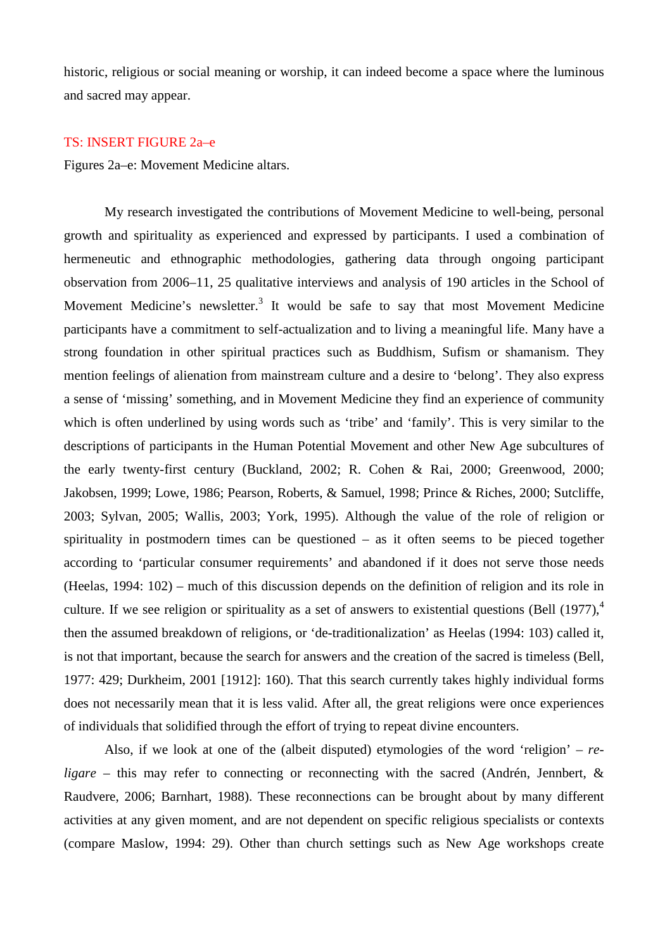historic, religious or social meaning or worship, it can indeed become a space where the luminous and sacred may appear.

#### TS: INSERT FIGURE 2a–e

Figures 2a–e: Movement Medicine altars.

My research investigated the contributions of Movement Medicine to well-being, personal growth and spirituality as experienced and expressed by participants. I used a combination of hermeneutic and ethnographic methodologies, gathering data through ongoing participant observation from 2006–11, 25 qualitative interviews and analysis of 190 articles in the School of Movement Medicine's newsletter.<sup>3</sup> It would be safe to say that most Movement Medicine participants have a commitment to self-actualization and to living a meaningful life. Many have a strong foundation in other spiritual practices such as Buddhism, Sufism or shamanism. They mention feelings of alienation from mainstream culture and a desire to 'belong'. They also express a sense of 'missing' something, and in Movement Medicine they find an experience of community which is often underlined by using words such as 'tribe' and 'family'. This is very similar to the descriptions of participants in the Human Potential Movement and other New Age subcultures of the early twenty-first century (Buckland, 2002; R. Cohen & Rai, 2000; Greenwood, 2000; Jakobsen, 1999; Lowe, 1986; Pearson, Roberts, & Samuel, 1998; Prince & Riches, 2000; Sutcliffe, 2003; Sylvan, 2005; Wallis, 2003; York, 1995). Although the value of the role of religion or spirituality in postmodern times can be questioned – as it often seems to be pieced together according to 'particular consumer requirements' and abandoned if it does not serve those needs (Heelas, 1994: 102) – much of this discussion depends on the definition of religion and its role in culture. If we see religion or spirituality as a set of answers to existential questions (Bell  $(1977)$ ,<sup>4</sup> then the assumed breakdown of religions, or 'de-traditionalization' as Heelas (1994: 103) called it, is not that important, because the search for answers and the creation of the sacred is timeless (Bell, 1977: 429; Durkheim, 2001 [1912]: 160). That this search currently takes highly individual forms does not necessarily mean that it is less valid. After all, the great religions were once experiences of individuals that solidified through the effort of trying to repeat divine encounters.

Also, if we look at one of the (albeit disputed) etymologies of the word 'religion' – *religare* – this may refer to connecting or reconnecting with the sacred (Andrén, Jennbert, & Raudvere, 2006; Barnhart, 1988). These reconnections can be brought about by many different activities at any given moment, and are not dependent on specific religious specialists or contexts (compare Maslow, 1994: 29). Other than church settings such as New Age workshops create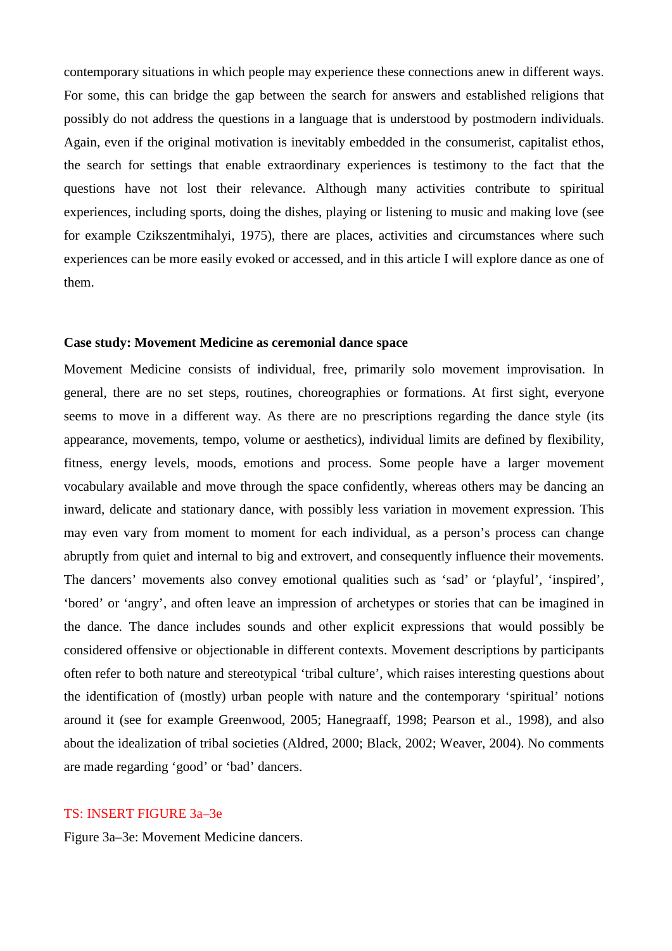contemporary situations in which people may experience these connections anew in different ways. For some, this can bridge the gap between the search for answers and established religions that possibly do not address the questions in a language that is understood by postmodern individuals. Again, even if the original motivation is inevitably embedded in the consumerist, capitalist ethos, the search for settings that enable extraordinary experiences is testimony to the fact that the questions have not lost their relevance. Although many activities contribute to spiritual experiences, including sports, doing the dishes, playing or listening to music and making love (see for example Czikszentmihalyi, 1975), there are places, activities and circumstances where such experiences can be more easily evoked or accessed, and in this article I will explore dance as one of them.

#### **Case study: Movement Medicine as ceremonial dance space**

Movement Medicine consists of individual, free, primarily solo movement improvisation. In general, there are no set steps, routines, choreographies or formations. At first sight, everyone seems to move in a different way. As there are no prescriptions regarding the dance style (its appearance, movements, tempo, volume or aesthetics), individual limits are defined by flexibility, fitness, energy levels, moods, emotions and process. Some people have a larger movement vocabulary available and move through the space confidently, whereas others may be dancing an inward, delicate and stationary dance, with possibly less variation in movement expression. This may even vary from moment to moment for each individual, as a person's process can change abruptly from quiet and internal to big and extrovert, and consequently influence their movements. The dancers' movements also convey emotional qualities such as 'sad' or 'playful', 'inspired', 'bored' or 'angry', and often leave an impression of archetypes or stories that can be imagined in the dance. The dance includes sounds and other explicit expressions that would possibly be considered offensive or objectionable in different contexts. Movement descriptions by participants often refer to both nature and stereotypical 'tribal culture', which raises interesting questions about the identification of (mostly) urban people with nature and the contemporary 'spiritual' notions around it (see for example Greenwood, 2005; Hanegraaff, 1998; Pearson et al., 1998), and also about the idealization of tribal societies (Aldred, 2000; Black, 2002; Weaver, 2004). No comments are made regarding 'good' or 'bad' dancers.

## TS: INSERT FIGURE 3a–3e

Figure 3a–3e: Movement Medicine dancers.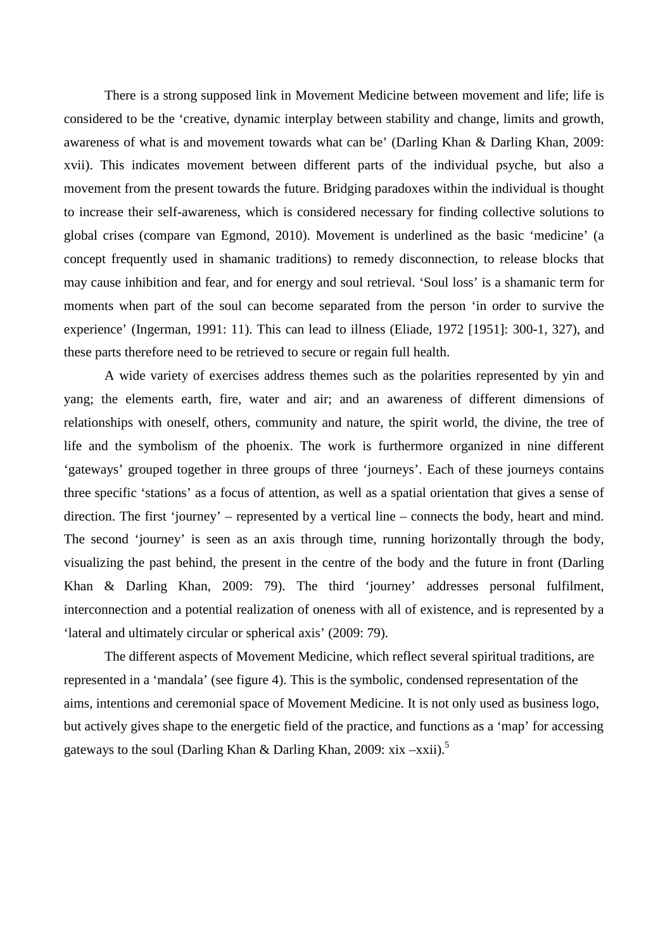There is a strong supposed link in Movement Medicine between movement and life; life is considered to be the 'creative, dynamic interplay between stability and change, limits and growth, awareness of what is and movement towards what can be' (Darling Khan & Darling Khan, 2009: xvii). This indicates movement between different parts of the individual psyche, but also a movement from the present towards the future. Bridging paradoxes within the individual is thought to increase their self-awareness, which is considered necessary for finding collective solutions to global crises (compare van Egmond, 2010). Movement is underlined as the basic 'medicine' (a concept frequently used in shamanic traditions) to remedy disconnection, to release blocks that may cause inhibition and fear, and for energy and soul retrieval. 'Soul loss' is a shamanic term for moments when part of the soul can become separated from the person 'in order to survive the experience' (Ingerman, 1991: 11). This can lead to illness (Eliade, 1972 [1951]: 300-1, 327), and these parts therefore need to be retrieved to secure or regain full health.

A wide variety of exercises address themes such as the polarities represented by yin and yang; the elements earth, fire, water and air; and an awareness of different dimensions of relationships with oneself, others, community and nature, the spirit world, the divine, the tree of life and the symbolism of the phoenix. The work is furthermore organized in nine different 'gateways' grouped together in three groups of three 'journeys'. Each of these journeys contains three specific 'stations' as a focus of attention, as well as a spatial orientation that gives a sense of direction. The first 'journey' – represented by a vertical line – connects the body, heart and mind. The second 'journey' is seen as an axis through time, running horizontally through the body, visualizing the past behind, the present in the centre of the body and the future in front (Darling Khan & Darling Khan, 2009: 79). The third 'journey' addresses personal fulfilment, interconnection and a potential realization of oneness with all of existence, and is represented by a 'lateral and ultimately circular or spherical axis' (2009: 79).

 The different aspects of Movement Medicine, which reflect several spiritual traditions, are represented in a 'mandala' (see figure 4). This is the symbolic, condensed representation of the aims, intentions and ceremonial space of Movement Medicine. It is not only used as business logo, but actively gives shape to the energetic field of the practice, and functions as a 'map' for accessing gateways to the soul (Darling Khan & Darling Khan, 2009: xix  $-xxii$ ).<sup>5</sup>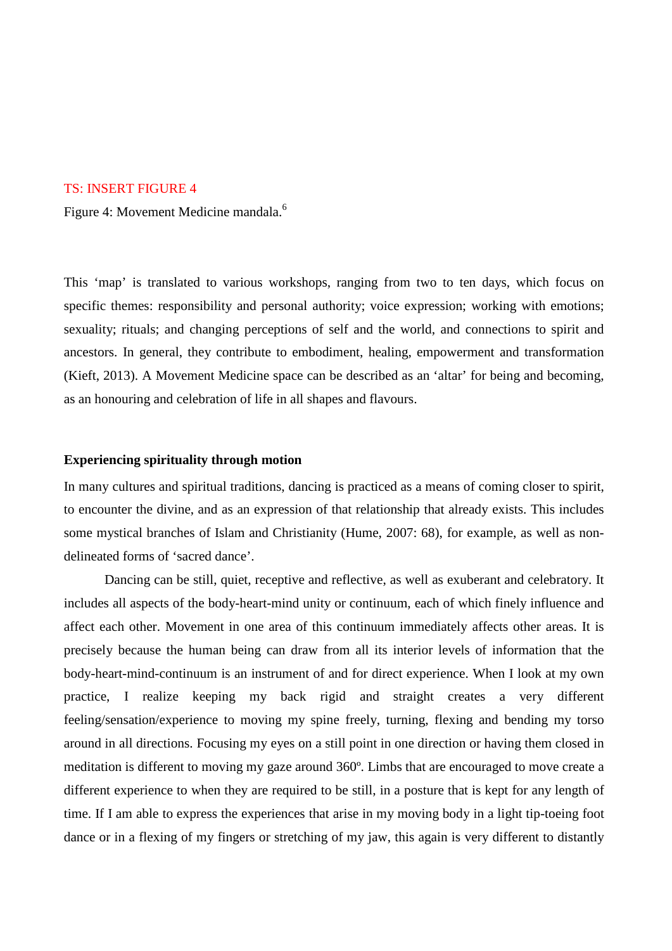#### TS: INSERT FIGURE 4

Figure 4: Movement Medicine mandala.<sup>6</sup>

This 'map' is translated to various workshops, ranging from two to ten days, which focus on specific themes: responsibility and personal authority; voice expression; working with emotions; sexuality; rituals; and changing perceptions of self and the world, and connections to spirit and ancestors. In general, they contribute to embodiment, healing, empowerment and transformation (Kieft, 2013). A Movement Medicine space can be described as an 'altar' for being and becoming, as an honouring and celebration of life in all shapes and flavours.

#### **Experiencing spirituality through motion**

In many cultures and spiritual traditions, dancing is practiced as a means of coming closer to spirit, to encounter the divine, and as an expression of that relationship that already exists. This includes some mystical branches of Islam and Christianity (Hume, 2007: 68), for example, as well as nondelineated forms of 'sacred dance'.

Dancing can be still, quiet, receptive and reflective, as well as exuberant and celebratory. It includes all aspects of the body-heart-mind unity or continuum, each of which finely influence and affect each other. Movement in one area of this continuum immediately affects other areas. It is precisely because the human being can draw from all its interior levels of information that the body-heart-mind-continuum is an instrument of and for direct experience. When I look at my own practice, I realize keeping my back rigid and straight creates a very different feeling/sensation/experience to moving my spine freely, turning, flexing and bending my torso around in all directions. Focusing my eyes on a still point in one direction or having them closed in meditation is different to moving my gaze around 360º. Limbs that are encouraged to move create a different experience to when they are required to be still, in a posture that is kept for any length of time. If I am able to express the experiences that arise in my moving body in a light tip-toeing foot dance or in a flexing of my fingers or stretching of my jaw, this again is very different to distantly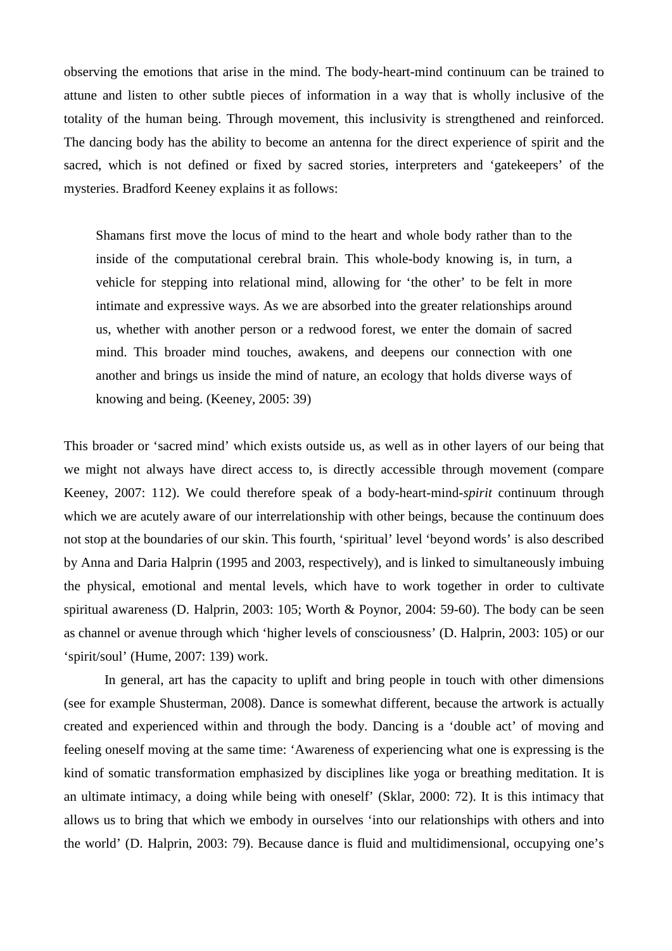observing the emotions that arise in the mind. The body-heart-mind continuum can be trained to attune and listen to other subtle pieces of information in a way that is wholly inclusive of the totality of the human being. Through movement, this inclusivity is strengthened and reinforced. The dancing body has the ability to become an antenna for the direct experience of spirit and the sacred, which is not defined or fixed by sacred stories, interpreters and 'gatekeepers' of the mysteries. Bradford Keeney explains it as follows:

Shamans first move the locus of mind to the heart and whole body rather than to the inside of the computational cerebral brain. This whole-body knowing is, in turn, a vehicle for stepping into relational mind, allowing for 'the other' to be felt in more intimate and expressive ways. As we are absorbed into the greater relationships around us, whether with another person or a redwood forest, we enter the domain of sacred mind. This broader mind touches, awakens, and deepens our connection with one another and brings us inside the mind of nature, an ecology that holds diverse ways of knowing and being. (Keeney, 2005: 39)

This broader or 'sacred mind' which exists outside us, as well as in other layers of our being that we might not always have direct access to, is directly accessible through movement (compare Keeney, 2007: 112). We could therefore speak of a body-heart-mind-*spirit* continuum through which we are acutely aware of our interrelationship with other beings, because the continuum does not stop at the boundaries of our skin. This fourth, 'spiritual' level 'beyond words' is also described by Anna and Daria Halprin (1995 and 2003, respectively), and is linked to simultaneously imbuing the physical, emotional and mental levels, which have to work together in order to cultivate spiritual awareness (D. Halprin, 2003: 105; Worth & Poynor, 2004: 59-60). The body can be seen as channel or avenue through which 'higher levels of consciousness' (D. Halprin, 2003: 105) or our 'spirit/soul' (Hume, 2007: 139) work.

In general, art has the capacity to uplift and bring people in touch with other dimensions (see for example Shusterman, 2008). Dance is somewhat different, because the artwork is actually created and experienced within and through the body. Dancing is a 'double act' of moving and feeling oneself moving at the same time: 'Awareness of experiencing what one is expressing is the kind of somatic transformation emphasized by disciplines like yoga or breathing meditation. It is an ultimate intimacy, a doing while being with oneself' (Sklar, 2000: 72). It is this intimacy that allows us to bring that which we embody in ourselves 'into our relationships with others and into the world' (D. Halprin, 2003: 79). Because dance is fluid and multidimensional, occupying one's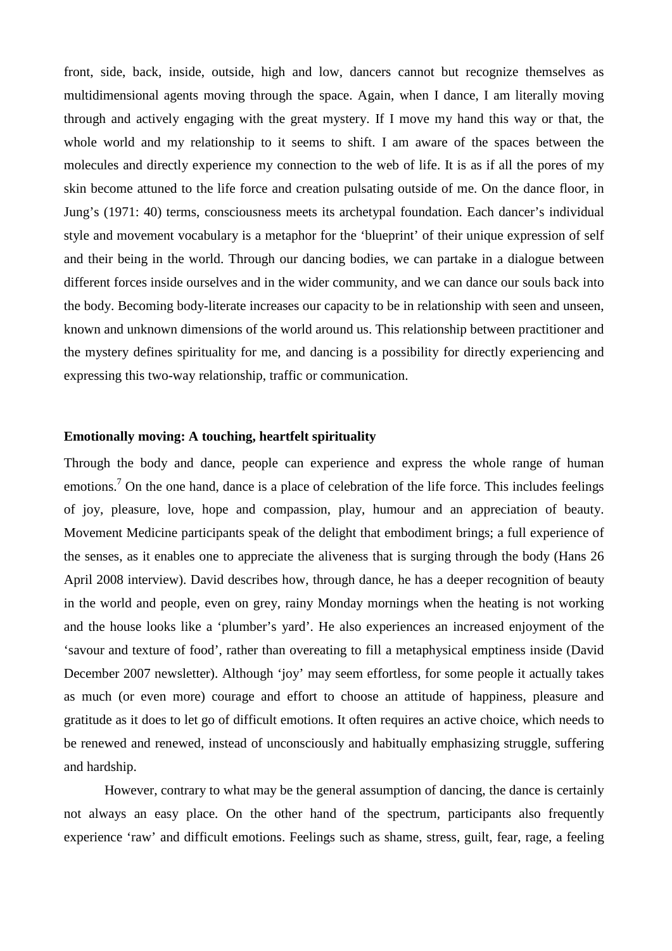front, side, back, inside, outside, high and low, dancers cannot but recognize themselves as multidimensional agents moving through the space. Again, when I dance, I am literally moving through and actively engaging with the great mystery. If I move my hand this way or that, the whole world and my relationship to it seems to shift. I am aware of the spaces between the molecules and directly experience my connection to the web of life. It is as if all the pores of my skin become attuned to the life force and creation pulsating outside of me. On the dance floor, in Jung's (1971: 40) terms, consciousness meets its archetypal foundation. Each dancer's individual style and movement vocabulary is a metaphor for the 'blueprint' of their unique expression of self and their being in the world. Through our dancing bodies, we can partake in a dialogue between different forces inside ourselves and in the wider community, and we can dance our souls back into the body. Becoming body-literate increases our capacity to be in relationship with seen and unseen, known and unknown dimensions of the world around us. This relationship between practitioner and the mystery defines spirituality for me, and dancing is a possibility for directly experiencing and expressing this two-way relationship, traffic or communication.

#### **Emotionally moving: A touching, heartfelt spirituality**

Through the body and dance, people can experience and express the whole range of human emotions.<sup>7</sup> On the one hand, dance is a place of celebration of the life force. This includes feelings of joy, pleasure, love, hope and compassion, play, humour and an appreciation of beauty. Movement Medicine participants speak of the delight that embodiment brings; a full experience of the senses, as it enables one to appreciate the aliveness that is surging through the body (Hans 26 April 2008 interview). David describes how, through dance, he has a deeper recognition of beauty in the world and people, even on grey, rainy Monday mornings when the heating is not working and the house looks like a 'plumber's yard'. He also experiences an increased enjoyment of the 'savour and texture of food', rather than overeating to fill a metaphysical emptiness inside (David December 2007 newsletter). Although 'joy' may seem effortless, for some people it actually takes as much (or even more) courage and effort to choose an attitude of happiness, pleasure and gratitude as it does to let go of difficult emotions. It often requires an active choice, which needs to be renewed and renewed, instead of unconsciously and habitually emphasizing struggle, suffering and hardship.

However, contrary to what may be the general assumption of dancing, the dance is certainly not always an easy place. On the other hand of the spectrum, participants also frequently experience 'raw' and difficult emotions. Feelings such as shame, stress, guilt, fear, rage, a feeling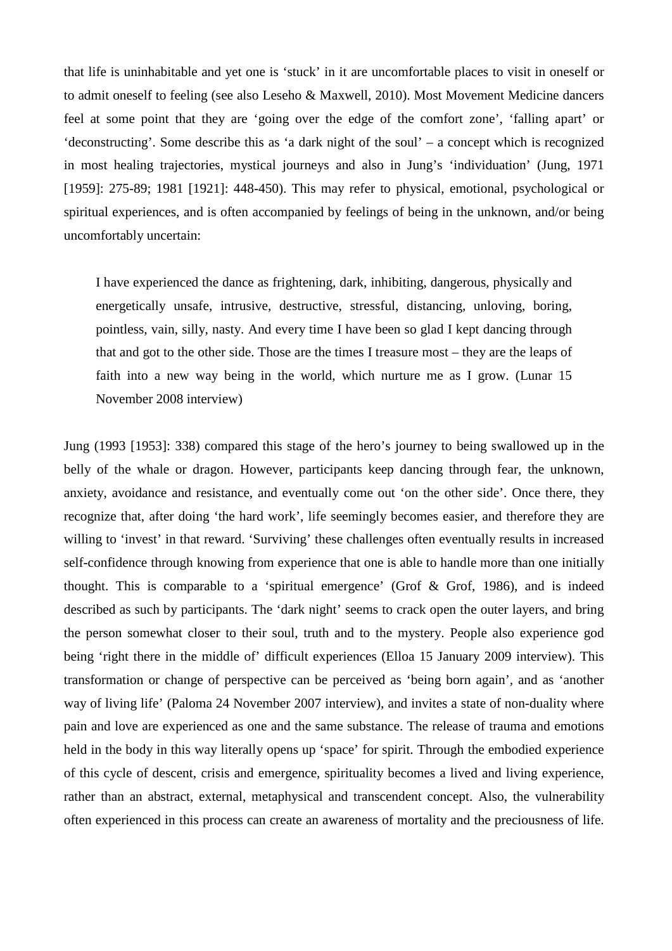that life is uninhabitable and yet one is 'stuck' in it are uncomfortable places to visit in oneself or to admit oneself to feeling (see also Leseho & Maxwell, 2010). Most Movement Medicine dancers feel at some point that they are 'going over the edge of the comfort zone', 'falling apart' or 'deconstructing'. Some describe this as 'a dark night of the soul' – a concept which is recognized in most healing trajectories, mystical journeys and also in Jung's 'individuation' (Jung, 1971 [1959]: 275-89; 1981 [1921]: 448-450). This may refer to physical, emotional, psychological or spiritual experiences, and is often accompanied by feelings of being in the unknown, and/or being uncomfortably uncertain:

I have experienced the dance as frightening, dark, inhibiting, dangerous, physically and energetically unsafe, intrusive, destructive, stressful, distancing, unloving, boring, pointless, vain, silly, nasty. And every time I have been so glad I kept dancing through that and got to the other side. Those are the times I treasure most – they are the leaps of faith into a new way being in the world, which nurture me as I grow. (Lunar 15 November 2008 interview)

Jung (1993 [1953]: 338) compared this stage of the hero's journey to being swallowed up in the belly of the whale or dragon. However, participants keep dancing through fear, the unknown, anxiety, avoidance and resistance, and eventually come out 'on the other side'. Once there, they recognize that, after doing 'the hard work', life seemingly becomes easier, and therefore they are willing to 'invest' in that reward. 'Surviving' these challenges often eventually results in increased self-confidence through knowing from experience that one is able to handle more than one initially thought. This is comparable to a 'spiritual emergence' (Grof  $\&$  Grof, 1986), and is indeed described as such by participants. The 'dark night' seems to crack open the outer layers, and bring the person somewhat closer to their soul, truth and to the mystery. People also experience god being 'right there in the middle of' difficult experiences (Elloa 15 January 2009 interview). This transformation or change of perspective can be perceived as 'being born again', and as 'another way of living life' (Paloma 24 November 2007 interview), and invites a state of non-duality where pain and love are experienced as one and the same substance. The release of trauma and emotions held in the body in this way literally opens up 'space' for spirit. Through the embodied experience of this cycle of descent, crisis and emergence, spirituality becomes a lived and living experience, rather than an abstract, external, metaphysical and transcendent concept. Also, the vulnerability often experienced in this process can create an awareness of mortality and the preciousness of life.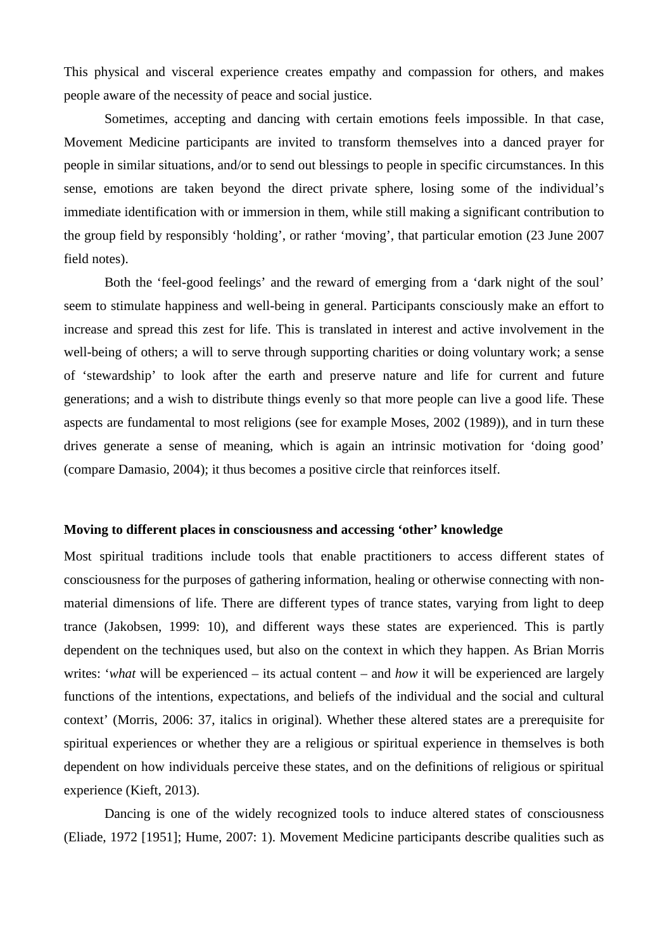This physical and visceral experience creates empathy and compassion for others, and makes people aware of the necessity of peace and social justice.

Sometimes, accepting and dancing with certain emotions feels impossible. In that case, Movement Medicine participants are invited to transform themselves into a danced prayer for people in similar situations, and/or to send out blessings to people in specific circumstances. In this sense, emotions are taken beyond the direct private sphere, losing some of the individual's immediate identification with or immersion in them, while still making a significant contribution to the group field by responsibly 'holding', or rather 'moving', that particular emotion (23 June 2007 field notes).

Both the 'feel-good feelings' and the reward of emerging from a 'dark night of the soul' seem to stimulate happiness and well-being in general. Participants consciously make an effort to increase and spread this zest for life. This is translated in interest and active involvement in the well-being of others; a will to serve through supporting charities or doing voluntary work; a sense of 'stewardship' to look after the earth and preserve nature and life for current and future generations; and a wish to distribute things evenly so that more people can live a good life. These aspects are fundamental to most religions (see for example Moses, 2002 (1989)), and in turn these drives generate a sense of meaning, which is again an intrinsic motivation for 'doing good' (compare Damasio, 2004); it thus becomes a positive circle that reinforces itself.

#### **Moving to different places in consciousness and accessing 'other' knowledge**

Most spiritual traditions include tools that enable practitioners to access different states of consciousness for the purposes of gathering information, healing or otherwise connecting with nonmaterial dimensions of life. There are different types of trance states, varying from light to deep trance (Jakobsen, 1999: 10), and different ways these states are experienced. This is partly dependent on the techniques used, but also on the context in which they happen. As Brian Morris writes: '*what* will be experienced – its actual content – and *how* it will be experienced are largely functions of the intentions, expectations, and beliefs of the individual and the social and cultural context' (Morris, 2006: 37, italics in original). Whether these altered states are a prerequisite for spiritual experiences or whether they are a religious or spiritual experience in themselves is both dependent on how individuals perceive these states, and on the definitions of religious or spiritual experience (Kieft, 2013).

Dancing is one of the widely recognized tools to induce altered states of consciousness (Eliade, 1972 [1951]; Hume, 2007: 1). Movement Medicine participants describe qualities such as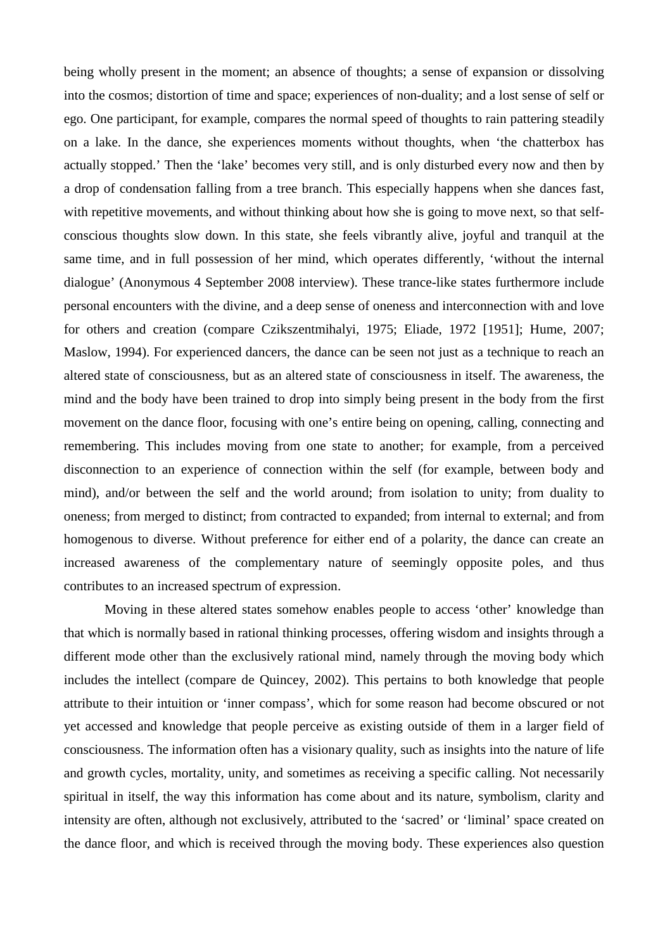being wholly present in the moment; an absence of thoughts; a sense of expansion or dissolving into the cosmos; distortion of time and space; experiences of non-duality; and a lost sense of self or ego. One participant, for example, compares the normal speed of thoughts to rain pattering steadily on a lake. In the dance, she experiences moments without thoughts, when 'the chatterbox has actually stopped.' Then the 'lake' becomes very still, and is only disturbed every now and then by a drop of condensation falling from a tree branch. This especially happens when she dances fast, with repetitive movements, and without thinking about how she is going to move next, so that selfconscious thoughts slow down. In this state, she feels vibrantly alive, joyful and tranquil at the same time, and in full possession of her mind, which operates differently, 'without the internal dialogue' (Anonymous 4 September 2008 interview). These trance-like states furthermore include personal encounters with the divine, and a deep sense of oneness and interconnection with and love for others and creation (compare Czikszentmihalyi, 1975; Eliade, 1972 [1951]; Hume, 2007; Maslow, 1994). For experienced dancers, the dance can be seen not just as a technique to reach an altered state of consciousness, but as an altered state of consciousness in itself. The awareness, the mind and the body have been trained to drop into simply being present in the body from the first movement on the dance floor, focusing with one's entire being on opening, calling, connecting and remembering. This includes moving from one state to another; for example, from a perceived disconnection to an experience of connection within the self (for example, between body and mind), and/or between the self and the world around; from isolation to unity; from duality to oneness; from merged to distinct; from contracted to expanded; from internal to external; and from homogenous to diverse. Without preference for either end of a polarity, the dance can create an increased awareness of the complementary nature of seemingly opposite poles, and thus contributes to an increased spectrum of expression.

Moving in these altered states somehow enables people to access 'other' knowledge than that which is normally based in rational thinking processes, offering wisdom and insights through a different mode other than the exclusively rational mind, namely through the moving body which includes the intellect (compare de Quincey, 2002). This pertains to both knowledge that people attribute to their intuition or 'inner compass', which for some reason had become obscured or not yet accessed and knowledge that people perceive as existing outside of them in a larger field of consciousness. The information often has a visionary quality, such as insights into the nature of life and growth cycles, mortality, unity, and sometimes as receiving a specific calling. Not necessarily spiritual in itself, the way this information has come about and its nature, symbolism, clarity and intensity are often, although not exclusively, attributed to the 'sacred' or 'liminal' space created on the dance floor, and which is received through the moving body. These experiences also question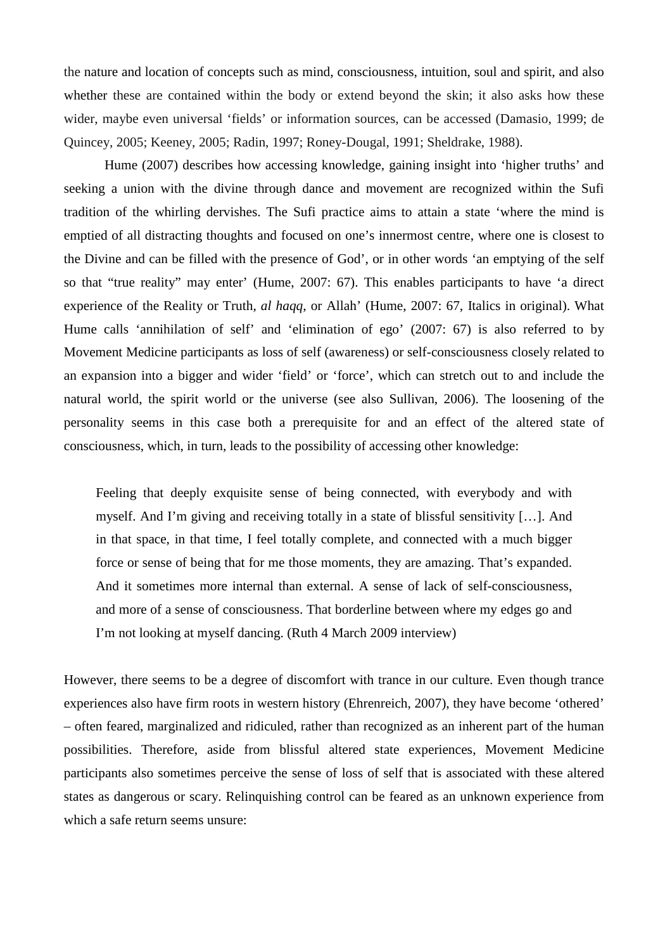the nature and location of concepts such as mind, consciousness, intuition, soul and spirit, and also whether these are contained within the body or extend beyond the skin; it also asks how these wider, maybe even universal 'fields' or information sources, can be accessed (Damasio, 1999; de Quincey, 2005; Keeney, 2005; Radin, 1997; Roney-Dougal, 1991; Sheldrake, 1988).

Hume (2007) describes how accessing knowledge, gaining insight into 'higher truths' and seeking a union with the divine through dance and movement are recognized within the Sufi tradition of the whirling dervishes. The Sufi practice aims to attain a state 'where the mind is emptied of all distracting thoughts and focused on one's innermost centre, where one is closest to the Divine and can be filled with the presence of God', or in other words 'an emptying of the self so that "true reality" may enter' (Hume, 2007: 67). This enables participants to have 'a direct experience of the Reality or Truth, *al haqq*, or Allah' (Hume, 2007: 67, Italics in original). What Hume calls 'annihilation of self' and 'elimination of ego' (2007: 67) is also referred to by Movement Medicine participants as loss of self (awareness) or self-consciousness closely related to an expansion into a bigger and wider 'field' or 'force', which can stretch out to and include the natural world, the spirit world or the universe (see also Sullivan, 2006). The loosening of the personality seems in this case both a prerequisite for and an effect of the altered state of consciousness, which, in turn, leads to the possibility of accessing other knowledge:

Feeling that deeply exquisite sense of being connected, with everybody and with myself. And I'm giving and receiving totally in a state of blissful sensitivity […]. And in that space, in that time, I feel totally complete, and connected with a much bigger force or sense of being that for me those moments, they are amazing. That's expanded. And it sometimes more internal than external. A sense of lack of self-consciousness, and more of a sense of consciousness. That borderline between where my edges go and I'm not looking at myself dancing. (Ruth 4 March 2009 interview)

However, there seems to be a degree of discomfort with trance in our culture. Even though trance experiences also have firm roots in western history (Ehrenreich, 2007), they have become 'othered' – often feared, marginalized and ridiculed, rather than recognized as an inherent part of the human possibilities. Therefore, aside from blissful altered state experiences, Movement Medicine participants also sometimes perceive the sense of loss of self that is associated with these altered states as dangerous or scary. Relinquishing control can be feared as an unknown experience from which a safe return seems unsure: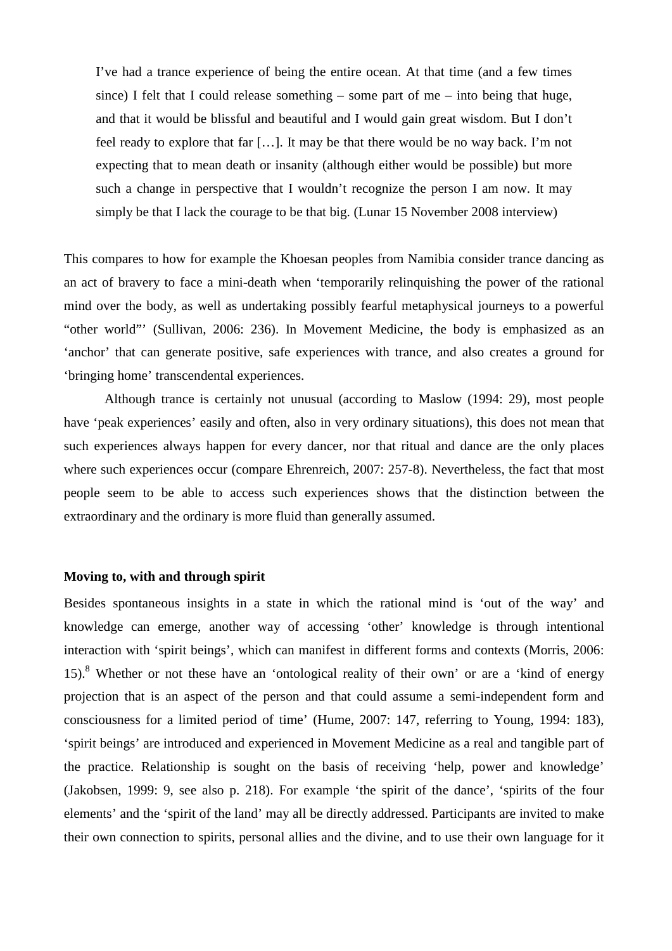I've had a trance experience of being the entire ocean. At that time (and a few times since) I felt that I could release something – some part of me – into being that huge, and that it would be blissful and beautiful and I would gain great wisdom. But I don't feel ready to explore that far […]. It may be that there would be no way back. I'm not expecting that to mean death or insanity (although either would be possible) but more such a change in perspective that I wouldn't recognize the person I am now. It may simply be that I lack the courage to be that big. (Lunar 15 November 2008 interview)

This compares to how for example the Khoesan peoples from Namibia consider trance dancing as an act of bravery to face a mini-death when 'temporarily relinquishing the power of the rational mind over the body, as well as undertaking possibly fearful metaphysical journeys to a powerful "other world"' (Sullivan, 2006: 236). In Movement Medicine, the body is emphasized as an 'anchor' that can generate positive, safe experiences with trance, and also creates a ground for 'bringing home' transcendental experiences.

Although trance is certainly not unusual (according to Maslow (1994: 29), most people have 'peak experiences' easily and often, also in very ordinary situations), this does not mean that such experiences always happen for every dancer, nor that ritual and dance are the only places where such experiences occur (compare Ehrenreich, 2007: 257-8). Nevertheless, the fact that most people seem to be able to access such experiences shows that the distinction between the extraordinary and the ordinary is more fluid than generally assumed.

#### **Moving to, with and through spirit**

Besides spontaneous insights in a state in which the rational mind is 'out of the way' and knowledge can emerge, another way of accessing 'other' knowledge is through intentional interaction with 'spirit beings', which can manifest in different forms and contexts (Morris, 2006: 15).8 Whether or not these have an 'ontological reality of their own' or are a 'kind of energy projection that is an aspect of the person and that could assume a semi-independent form and consciousness for a limited period of time' (Hume, 2007: 147, referring to Young, 1994: 183), 'spirit beings' are introduced and experienced in Movement Medicine as a real and tangible part of the practice. Relationship is sought on the basis of receiving 'help, power and knowledge' (Jakobsen, 1999: 9, see also p. 218). For example 'the spirit of the dance', 'spirits of the four elements' and the 'spirit of the land' may all be directly addressed. Participants are invited to make their own connection to spirits, personal allies and the divine, and to use their own language for it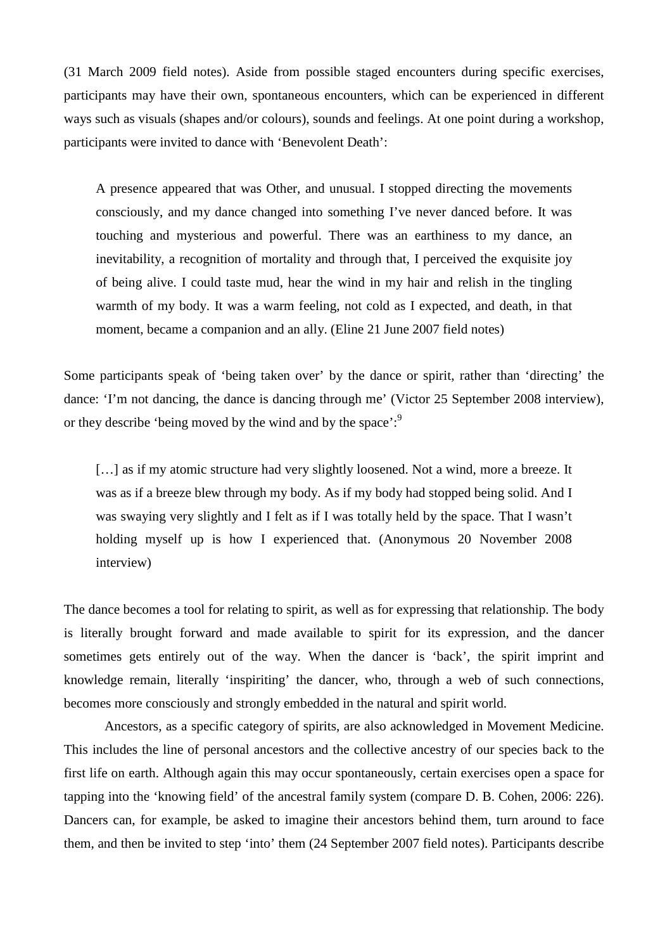(31 March 2009 field notes). Aside from possible staged encounters during specific exercises, participants may have their own, spontaneous encounters, which can be experienced in different ways such as visuals (shapes and/or colours), sounds and feelings. At one point during a workshop, participants were invited to dance with 'Benevolent Death':

A presence appeared that was Other, and unusual. I stopped directing the movements consciously, and my dance changed into something I've never danced before. It was touching and mysterious and powerful. There was an earthiness to my dance, an inevitability, a recognition of mortality and through that, I perceived the exquisite joy of being alive. I could taste mud, hear the wind in my hair and relish in the tingling warmth of my body. It was a warm feeling, not cold as I expected, and death, in that moment, became a companion and an ally. (Eline 21 June 2007 field notes)

Some participants speak of 'being taken over' by the dance or spirit, rather than 'directing' the dance: 'I'm not dancing, the dance is dancing through me' (Victor 25 September 2008 interview), or they describe 'being moved by the wind and by the space':<sup>9</sup>

[...] as if my atomic structure had very slightly loosened. Not a wind, more a breeze. It was as if a breeze blew through my body. As if my body had stopped being solid. And I was swaying very slightly and I felt as if I was totally held by the space. That I wasn't holding myself up is how I experienced that. (Anonymous 20 November 2008 interview)

The dance becomes a tool for relating to spirit, as well as for expressing that relationship. The body is literally brought forward and made available to spirit for its expression, and the dancer sometimes gets entirely out of the way. When the dancer is 'back', the spirit imprint and knowledge remain, literally 'inspiriting' the dancer, who, through a web of such connections, becomes more consciously and strongly embedded in the natural and spirit world.

Ancestors, as a specific category of spirits, are also acknowledged in Movement Medicine. This includes the line of personal ancestors and the collective ancestry of our species back to the first life on earth. Although again this may occur spontaneously, certain exercises open a space for tapping into the 'knowing field' of the ancestral family system (compare D. B. Cohen, 2006: 226). Dancers can, for example, be asked to imagine their ancestors behind them, turn around to face them, and then be invited to step 'into' them (24 September 2007 field notes). Participants describe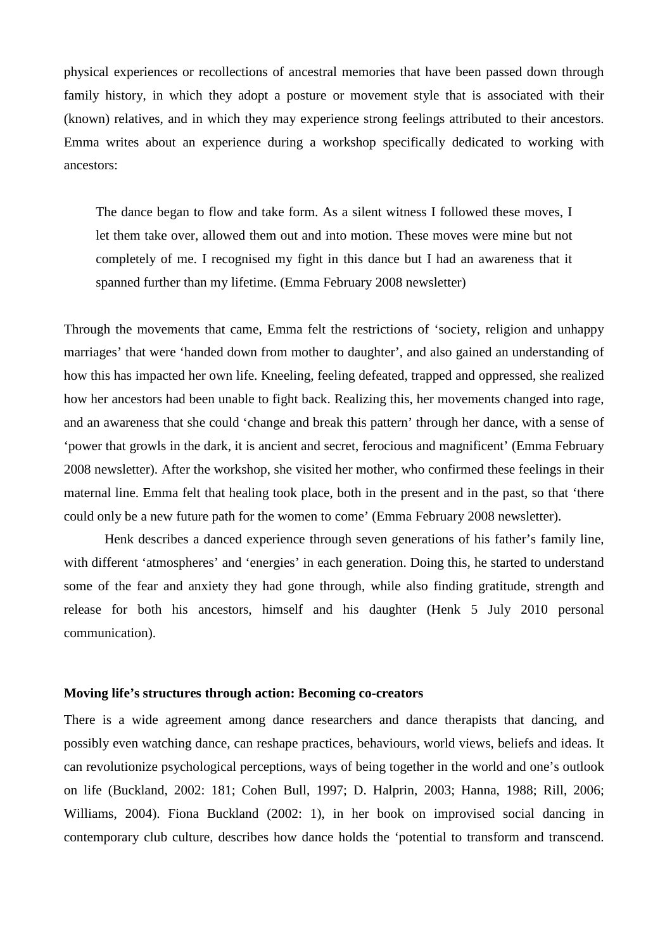physical experiences or recollections of ancestral memories that have been passed down through family history, in which they adopt a posture or movement style that is associated with their (known) relatives, and in which they may experience strong feelings attributed to their ancestors. Emma writes about an experience during a workshop specifically dedicated to working with ancestors:

The dance began to flow and take form. As a silent witness I followed these moves, I let them take over, allowed them out and into motion. These moves were mine but not completely of me. I recognised my fight in this dance but I had an awareness that it spanned further than my lifetime. (Emma February 2008 newsletter)

Through the movements that came, Emma felt the restrictions of 'society, religion and unhappy marriages' that were 'handed down from mother to daughter', and also gained an understanding of how this has impacted her own life. Kneeling, feeling defeated, trapped and oppressed, she realized how her ancestors had been unable to fight back. Realizing this, her movements changed into rage, and an awareness that she could 'change and break this pattern' through her dance, with a sense of 'power that growls in the dark, it is ancient and secret, ferocious and magnificent' (Emma February 2008 newsletter). After the workshop, she visited her mother, who confirmed these feelings in their maternal line. Emma felt that healing took place, both in the present and in the past, so that 'there could only be a new future path for the women to come' (Emma February 2008 newsletter).

Henk describes a danced experience through seven generations of his father's family line, with different 'atmospheres' and 'energies' in each generation. Doing this, he started to understand some of the fear and anxiety they had gone through, while also finding gratitude, strength and release for both his ancestors, himself and his daughter (Henk 5 July 2010 personal communication).

## **Moving life's structures through action: Becoming co-creators**

There is a wide agreement among dance researchers and dance therapists that dancing, and possibly even watching dance, can reshape practices, behaviours, world views, beliefs and ideas. It can revolutionize psychological perceptions, ways of being together in the world and one's outlook on life (Buckland, 2002: 181; Cohen Bull, 1997; D. Halprin, 2003; Hanna, 1988; Rill, 2006; Williams, 2004). Fiona Buckland (2002: 1), in her book on improvised social dancing in contemporary club culture, describes how dance holds the 'potential to transform and transcend.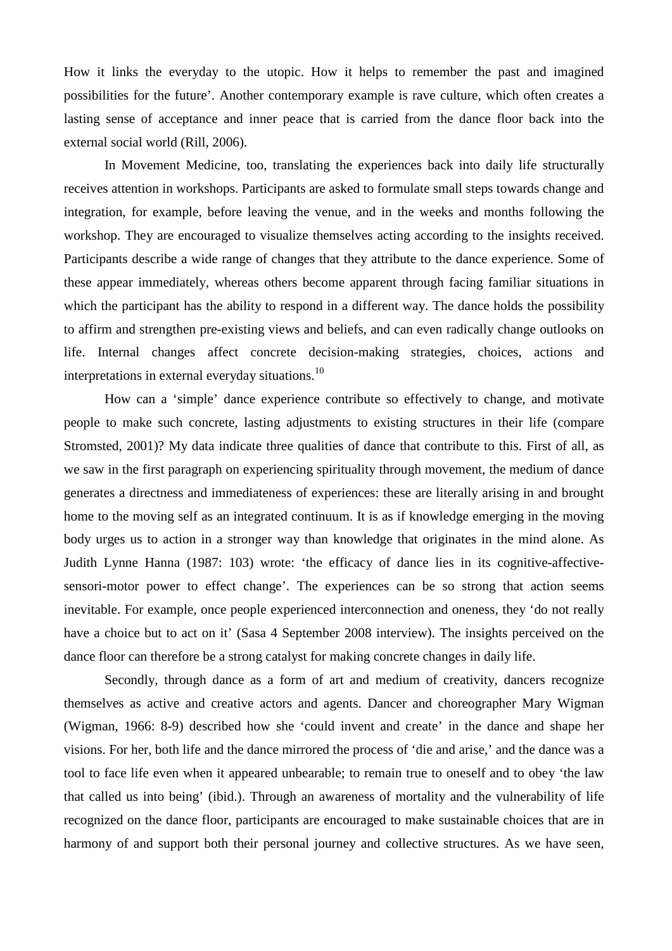How it links the everyday to the utopic. How it helps to remember the past and imagined possibilities for the future'. Another contemporary example is rave culture, which often creates a lasting sense of acceptance and inner peace that is carried from the dance floor back into the external social world (Rill, 2006).

In Movement Medicine, too, translating the experiences back into daily life structurally receives attention in workshops. Participants are asked to formulate small steps towards change and integration, for example, before leaving the venue, and in the weeks and months following the workshop. They are encouraged to visualize themselves acting according to the insights received. Participants describe a wide range of changes that they attribute to the dance experience. Some of these appear immediately, whereas others become apparent through facing familiar situations in which the participant has the ability to respond in a different way. The dance holds the possibility to affirm and strengthen pre-existing views and beliefs, and can even radically change outlooks on life. Internal changes affect concrete decision-making strategies, choices, actions and interpretations in external everyday situations.<sup>10</sup>

How can a 'simple' dance experience contribute so effectively to change, and motivate people to make such concrete, lasting adjustments to existing structures in their life (compare Stromsted, 2001)? My data indicate three qualities of dance that contribute to this. First of all, as we saw in the first paragraph on experiencing spirituality through movement, the medium of dance generates a directness and immediateness of experiences: these are literally arising in and brought home to the moving self as an integrated continuum. It is as if knowledge emerging in the moving body urges us to action in a stronger way than knowledge that originates in the mind alone. As Judith Lynne Hanna (1987: 103) wrote: 'the efficacy of dance lies in its cognitive-affectivesensori-motor power to effect change'. The experiences can be so strong that action seems inevitable. For example, once people experienced interconnection and oneness, they 'do not really have a choice but to act on it' (Sasa 4 September 2008 interview). The insights perceived on the dance floor can therefore be a strong catalyst for making concrete changes in daily life.

Secondly, through dance as a form of art and medium of creativity, dancers recognize themselves as active and creative actors and agents. Dancer and choreographer Mary Wigman (Wigman, 1966: 8-9) described how she 'could invent and create' in the dance and shape her visions. For her, both life and the dance mirrored the process of 'die and arise,' and the dance was a tool to face life even when it appeared unbearable; to remain true to oneself and to obey 'the law that called us into being' (ibid.). Through an awareness of mortality and the vulnerability of life recognized on the dance floor, participants are encouraged to make sustainable choices that are in harmony of and support both their personal journey and collective structures. As we have seen,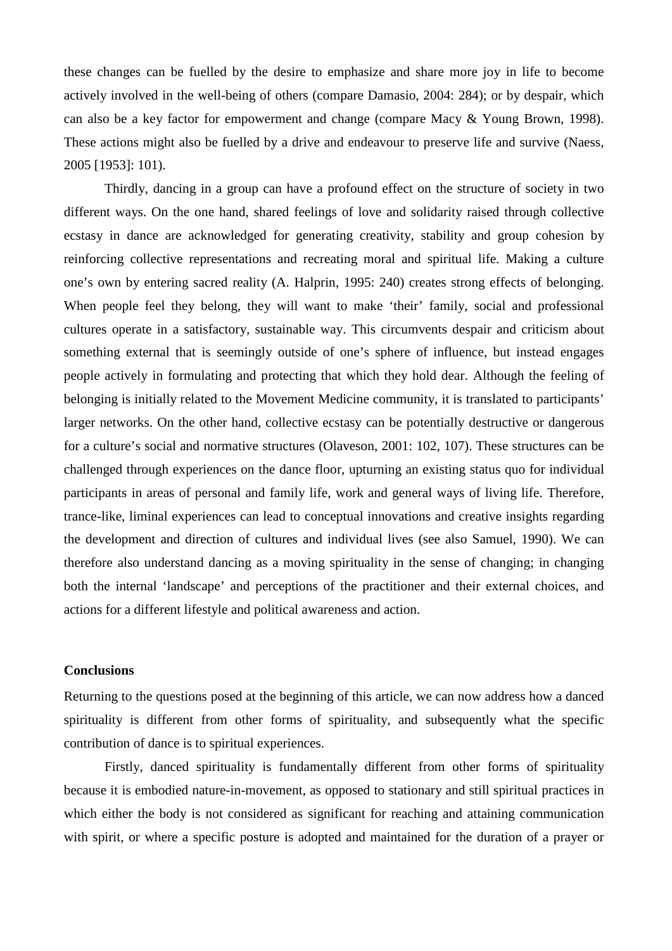these changes can be fuelled by the desire to emphasize and share more joy in life to become actively involved in the well-being of others (compare Damasio, 2004: 284); or by despair, which can also be a key factor for empowerment and change (compare Macy & Young Brown, 1998). These actions might also be fuelled by a drive and endeavour to preserve life and survive (Naess, 2005 [1953]: 101).

Thirdly, dancing in a group can have a profound effect on the structure of society in two different ways. On the one hand, shared feelings of love and solidarity raised through collective ecstasy in dance are acknowledged for generating creativity, stability and group cohesion by reinforcing collective representations and recreating moral and spiritual life. Making a culture one's own by entering sacred reality (A. Halprin, 1995: 240) creates strong effects of belonging. When people feel they belong, they will want to make 'their' family, social and professional cultures operate in a satisfactory, sustainable way. This circumvents despair and criticism about something external that is seemingly outside of one's sphere of influence, but instead engages people actively in formulating and protecting that which they hold dear. Although the feeling of belonging is initially related to the Movement Medicine community, it is translated to participants' larger networks. On the other hand, collective ecstasy can be potentially destructive or dangerous for a culture's social and normative structures (Olaveson, 2001: 102, 107). These structures can be challenged through experiences on the dance floor, upturning an existing status quo for individual participants in areas of personal and family life, work and general ways of living life. Therefore, trance-like, liminal experiences can lead to conceptual innovations and creative insights regarding the development and direction of cultures and individual lives (see also Samuel, 1990). We can therefore also understand dancing as a moving spirituality in the sense of changing; in changing both the internal 'landscape' and perceptions of the practitioner and their external choices, and actions for a different lifestyle and political awareness and action.

#### **Conclusions**

Returning to the questions posed at the beginning of this article, we can now address how a danced spirituality is different from other forms of spirituality, and subsequently what the specific contribution of dance is to spiritual experiences.

Firstly, danced spirituality is fundamentally different from other forms of spirituality because it is embodied nature-in-movement, as opposed to stationary and still spiritual practices in which either the body is not considered as significant for reaching and attaining communication with spirit, or where a specific posture is adopted and maintained for the duration of a prayer or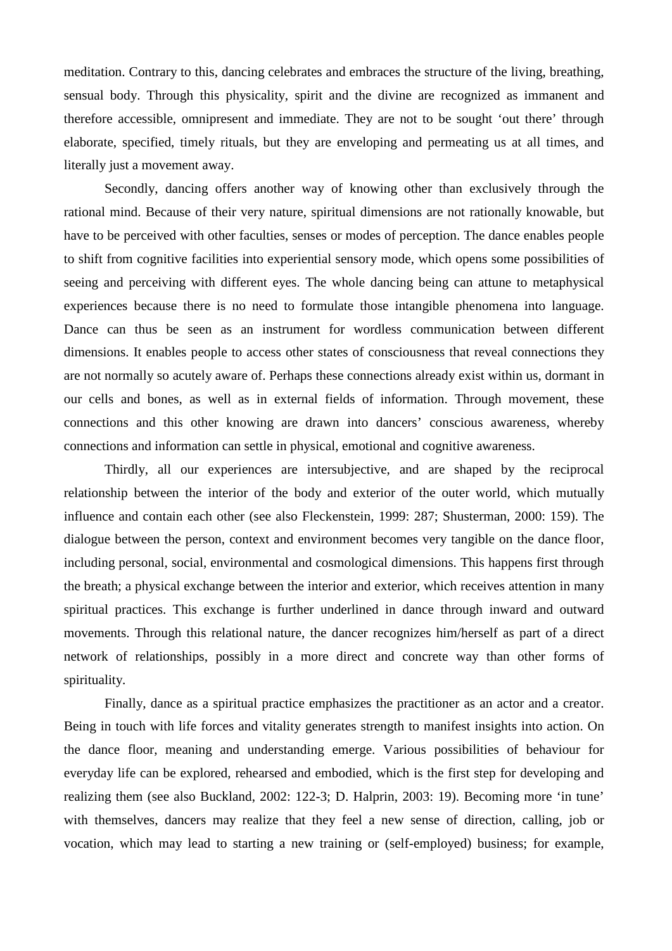meditation. Contrary to this, dancing celebrates and embraces the structure of the living, breathing, sensual body. Through this physicality, spirit and the divine are recognized as immanent and therefore accessible, omnipresent and immediate. They are not to be sought 'out there' through elaborate, specified, timely rituals, but they are enveloping and permeating us at all times, and literally just a movement away.

Secondly, dancing offers another way of knowing other than exclusively through the rational mind. Because of their very nature, spiritual dimensions are not rationally knowable, but have to be perceived with other faculties, senses or modes of perception. The dance enables people to shift from cognitive facilities into experiential sensory mode, which opens some possibilities of seeing and perceiving with different eyes. The whole dancing being can attune to metaphysical experiences because there is no need to formulate those intangible phenomena into language. Dance can thus be seen as an instrument for wordless communication between different dimensions. It enables people to access other states of consciousness that reveal connections they are not normally so acutely aware of. Perhaps these connections already exist within us, dormant in our cells and bones, as well as in external fields of information. Through movement, these connections and this other knowing are drawn into dancers' conscious awareness, whereby connections and information can settle in physical, emotional and cognitive awareness.

Thirdly, all our experiences are intersubjective, and are shaped by the reciprocal relationship between the interior of the body and exterior of the outer world, which mutually influence and contain each other (see also Fleckenstein, 1999: 287; Shusterman, 2000: 159). The dialogue between the person, context and environment becomes very tangible on the dance floor, including personal, social, environmental and cosmological dimensions. This happens first through the breath; a physical exchange between the interior and exterior, which receives attention in many spiritual practices. This exchange is further underlined in dance through inward and outward movements. Through this relational nature, the dancer recognizes him/herself as part of a direct network of relationships, possibly in a more direct and concrete way than other forms of spirituality.

Finally, dance as a spiritual practice emphasizes the practitioner as an actor and a creator. Being in touch with life forces and vitality generates strength to manifest insights into action. On the dance floor, meaning and understanding emerge. Various possibilities of behaviour for everyday life can be explored, rehearsed and embodied, which is the first step for developing and realizing them (see also Buckland, 2002: 122-3; D. Halprin, 2003: 19). Becoming more 'in tune' with themselves, dancers may realize that they feel a new sense of direction, calling, job or vocation, which may lead to starting a new training or (self-employed) business; for example,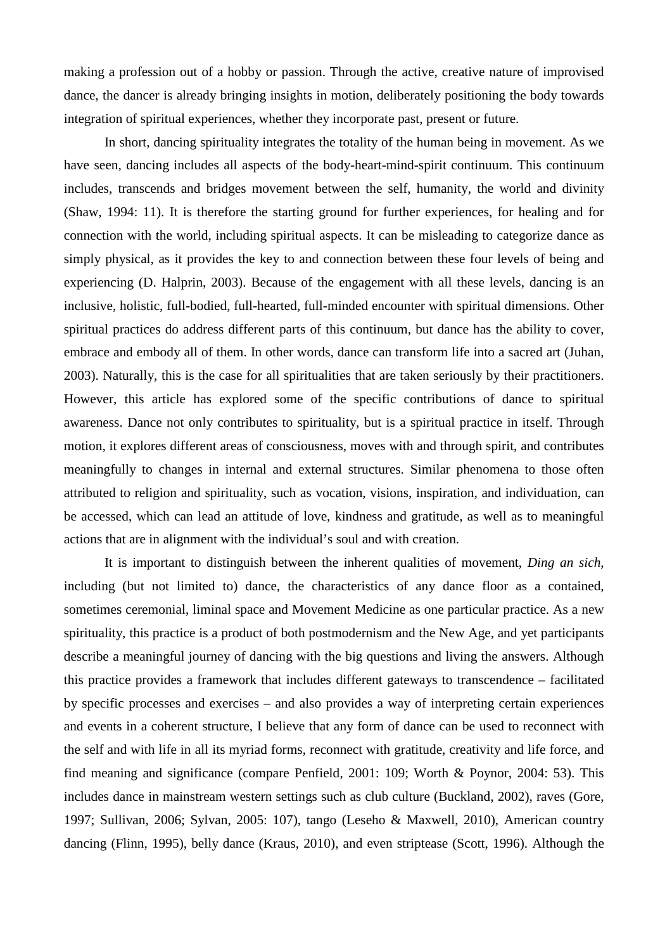making a profession out of a hobby or passion. Through the active, creative nature of improvised dance, the dancer is already bringing insights in motion, deliberately positioning the body towards integration of spiritual experiences, whether they incorporate past, present or future.

In short, dancing spirituality integrates the totality of the human being in movement. As we have seen, dancing includes all aspects of the body-heart-mind-spirit continuum. This continuum includes, transcends and bridges movement between the self, humanity, the world and divinity (Shaw, 1994: 11). It is therefore the starting ground for further experiences, for healing and for connection with the world, including spiritual aspects. It can be misleading to categorize dance as simply physical, as it provides the key to and connection between these four levels of being and experiencing (D. Halprin, 2003). Because of the engagement with all these levels, dancing is an inclusive, holistic, full-bodied, full-hearted, full-minded encounter with spiritual dimensions. Other spiritual practices do address different parts of this continuum, but dance has the ability to cover, embrace and embody all of them. In other words, dance can transform life into a sacred art (Juhan, 2003). Naturally, this is the case for all spiritualities that are taken seriously by their practitioners. However, this article has explored some of the specific contributions of dance to spiritual awareness. Dance not only contributes to spirituality, but is a spiritual practice in itself. Through motion, it explores different areas of consciousness, moves with and through spirit, and contributes meaningfully to changes in internal and external structures. Similar phenomena to those often attributed to religion and spirituality, such as vocation, visions, inspiration, and individuation, can be accessed, which can lead an attitude of love, kindness and gratitude, as well as to meaningful actions that are in alignment with the individual's soul and with creation.

It is important to distinguish between the inherent qualities of movement, *Ding an sich*, including (but not limited to) dance, the characteristics of any dance floor as a contained, sometimes ceremonial, liminal space and Movement Medicine as one particular practice. As a new spirituality, this practice is a product of both postmodernism and the New Age, and yet participants describe a meaningful journey of dancing with the big questions and living the answers. Although this practice provides a framework that includes different gateways to transcendence – facilitated by specific processes and exercises – and also provides a way of interpreting certain experiences and events in a coherent structure, I believe that any form of dance can be used to reconnect with the self and with life in all its myriad forms, reconnect with gratitude, creativity and life force, and find meaning and significance (compare Penfield, 2001: 109; Worth & Poynor, 2004: 53). This includes dance in mainstream western settings such as club culture (Buckland, 2002), raves (Gore, 1997; Sullivan, 2006; Sylvan, 2005: 107), tango (Leseho & Maxwell, 2010), American country dancing (Flinn, 1995), belly dance (Kraus, 2010), and even striptease (Scott, 1996). Although the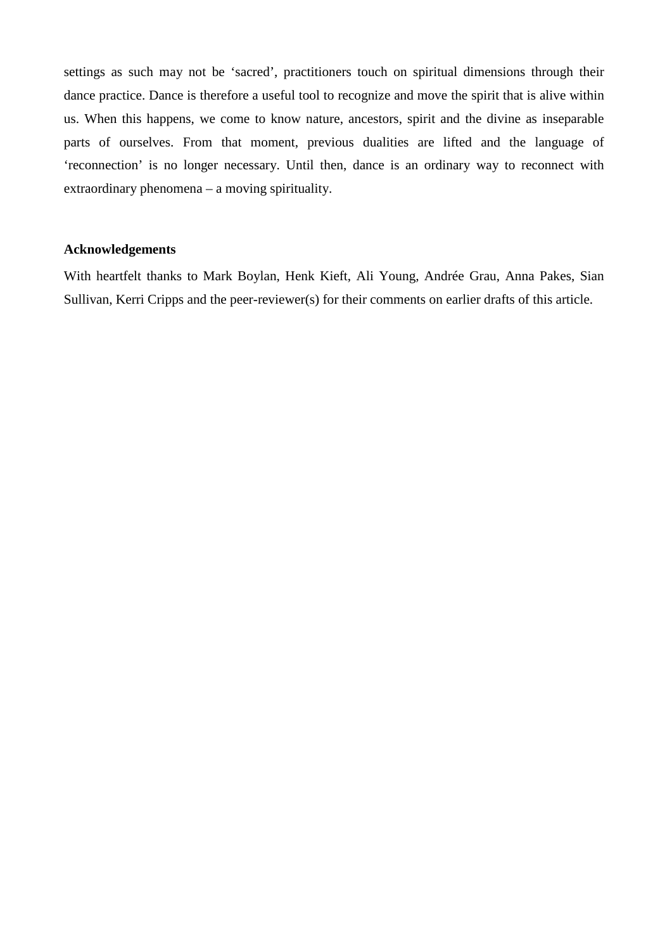settings as such may not be 'sacred', practitioners touch on spiritual dimensions through their dance practice. Dance is therefore a useful tool to recognize and move the spirit that is alive within us. When this happens, we come to know nature, ancestors, spirit and the divine as inseparable parts of ourselves. From that moment, previous dualities are lifted and the language of 'reconnection' is no longer necessary. Until then, dance is an ordinary way to reconnect with extraordinary phenomena – a moving spirituality.

# **Acknowledgements**

With heartfelt thanks to Mark Boylan, Henk Kieft, Ali Young, Andrée Grau, Anna Pakes, Sian Sullivan, Kerri Cripps and the peer-reviewer(s) for their comments on earlier drafts of this article.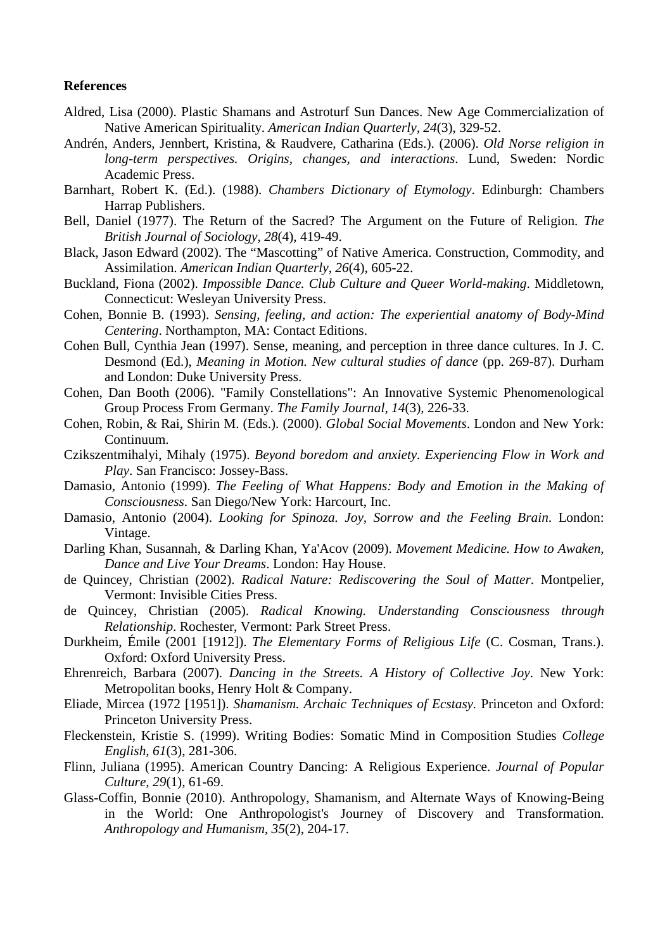## **References**

- Aldred, Lisa (2000). Plastic Shamans and Astroturf Sun Dances. New Age Commercialization of Native American Spirituality. *American Indian Quarterly, 24*(3), 329-52.
- Andrén, Anders, Jennbert, Kristina, & Raudvere, Catharina (Eds.). (2006). *Old Norse religion in long-term perspectives. Origins, changes, and interactions*. Lund, Sweden: Nordic Academic Press.
- Barnhart, Robert K. (Ed.). (1988). *Chambers Dictionary of Etymology*. Edinburgh: Chambers Harrap Publishers.
- Bell, Daniel (1977). The Return of the Sacred? The Argument on the Future of Religion. *The British Journal of Sociology, 28*(4), 419-49.
- Black, Jason Edward (2002). The "Mascotting" of Native America. Construction, Commodity, and Assimilation. *American Indian Quarterly, 26*(4), 605-22.
- Buckland, Fiona (2002). *Impossible Dance. Club Culture and Queer World-making*. Middletown, Connecticut: Wesleyan University Press.
- Cohen, Bonnie B. (1993). *Sensing, feeling, and action: The experiential anatomy of Body-Mind Centering*. Northampton, MA: Contact Editions.
- Cohen Bull, Cynthia Jean (1997). Sense, meaning, and perception in three dance cultures. In J. C. Desmond (Ed.), *Meaning in Motion. New cultural studies of dance* (pp. 269-87). Durham and London: Duke University Press.
- Cohen, Dan Booth (2006). "Family Constellations": An Innovative Systemic Phenomenological Group Process From Germany. *The Family Journal, 14*(3), 226-33.
- Cohen, Robin, & Rai, Shirin M. (Eds.). (2000). *Global Social Movements*. London and New York: Continuum.
- Czikszentmihalyi, Mihaly (1975). *Beyond boredom and anxiety. Experiencing Flow in Work and Play*. San Francisco: Jossey-Bass.
- Damasio, Antonio (1999). *The Feeling of What Happens: Body and Emotion in the Making of Consciousness*. San Diego/New York: Harcourt, Inc.
- Damasio, Antonio (2004). *Looking for Spinoza. Joy, Sorrow and the Feeling Brain*. London: Vintage.
- Darling Khan, Susannah, & Darling Khan, Ya'Acov (2009). *Movement Medicine. How to Awaken, Dance and Live Your Dreams*. London: Hay House.
- de Quincey, Christian (2002). *Radical Nature: Rediscovering the Soul of Matter*. Montpelier, Vermont: Invisible Cities Press.
- de Quincey, Christian (2005). *Radical Knowing. Understanding Consciousness through Relationship*. Rochester, Vermont: Park Street Press.
- Durkheim, Émile (2001 [1912]). *The Elementary Forms of Religious Life* (C. Cosman, Trans.). Oxford: Oxford University Press.
- Ehrenreich, Barbara (2007). *Dancing in the Streets. A History of Collective Joy*. New York: Metropolitan books, Henry Holt & Company.
- Eliade, Mircea (1972 [1951]). *Shamanism. Archaic Techniques of Ecstasy.* Princeton and Oxford: Princeton University Press.
- Fleckenstein, Kristie S. (1999). Writing Bodies: Somatic Mind in Composition Studies *College English, 61*(3), 281-306.
- Flinn, Juliana (1995). American Country Dancing: A Religious Experience. *Journal of Popular Culture, 29*(1), 61-69.
- Glass-Coffin, Bonnie (2010). Anthropology, Shamanism, and Alternate Ways of Knowing-Being in the World: One Anthropologist's Journey of Discovery and Transformation. *Anthropology and Humanism, 35*(2), 204-17.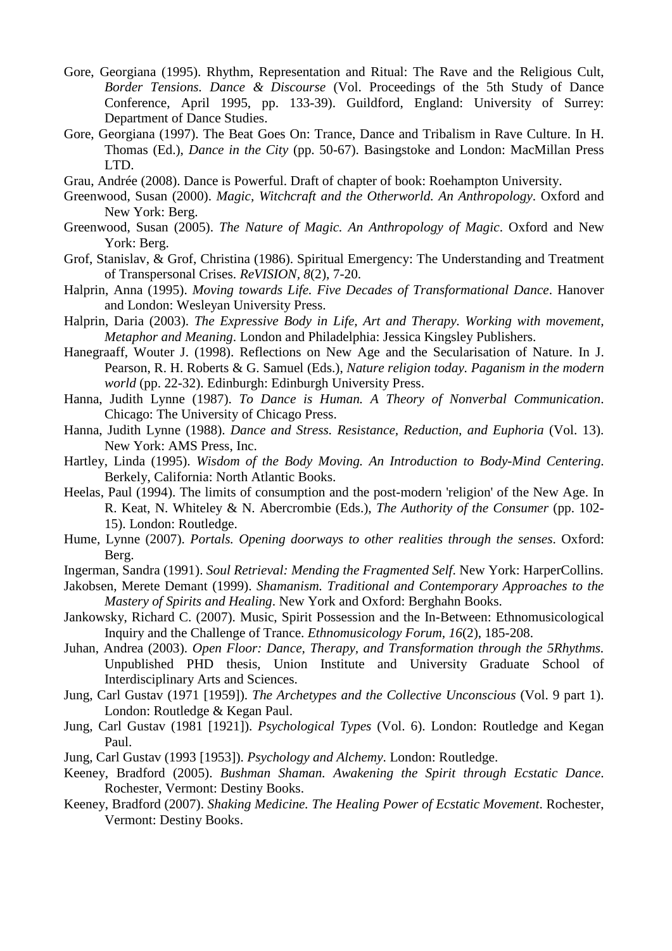- Gore, Georgiana (1995). Rhythm, Representation and Ritual: The Rave and the Religious Cult, *Border Tensions. Dance & Discourse* (Vol. Proceedings of the 5th Study of Dance Conference, April 1995, pp. 133-39). Guildford, England: University of Surrey: Department of Dance Studies.
- Gore, Georgiana (1997). The Beat Goes On: Trance, Dance and Tribalism in Rave Culture. In H. Thomas (Ed.), *Dance in the City* (pp. 50-67). Basingstoke and London: MacMillan Press LTD.
- Grau, Andrée (2008). Dance is Powerful. Draft of chapter of book: Roehampton University.
- Greenwood, Susan (2000). *Magic, Witchcraft and the Otherworld. An Anthropology*. Oxford and New York: Berg.
- Greenwood, Susan (2005). *The Nature of Magic. An Anthropology of Magic*. Oxford and New York: Berg.
- Grof, Stanislav, & Grof, Christina (1986). Spiritual Emergency: The Understanding and Treatment of Transpersonal Crises. *ReVISION, 8*(2), 7-20.
- Halprin, Anna (1995). *Moving towards Life. Five Decades of Transformational Dance*. Hanover and London: Wesleyan University Press.
- Halprin, Daria (2003). *The Expressive Body in Life, Art and Therapy. Working with movement, Metaphor and Meaning*. London and Philadelphia: Jessica Kingsley Publishers.
- Hanegraaff, Wouter J. (1998). Reflections on New Age and the Secularisation of Nature. In J. Pearson, R. H. Roberts & G. Samuel (Eds.), *Nature religion today. Paganism in the modern world* (pp. 22-32). Edinburgh: Edinburgh University Press.
- Hanna, Judith Lynne (1987). *To Dance is Human. A Theory of Nonverbal Communication*. Chicago: The University of Chicago Press.
- Hanna, Judith Lynne (1988). *Dance and Stress. Resistance, Reduction, and Euphoria* (Vol. 13). New York: AMS Press, Inc.
- Hartley, Linda (1995). *Wisdom of the Body Moving. An Introduction to Body-Mind Centering*. Berkely, California: North Atlantic Books.
- Heelas, Paul (1994). The limits of consumption and the post-modern 'religion' of the New Age. In R. Keat, N. Whiteley & N. Abercrombie (Eds.), *The Authority of the Consumer* (pp. 102- 15). London: Routledge.
- Hume, Lynne (2007). *Portals. Opening doorways to other realities through the senses*. Oxford: Berg.
- Ingerman, Sandra (1991). *Soul Retrieval: Mending the Fragmented Self*. New York: HarperCollins.
- Jakobsen, Merete Demant (1999). *Shamanism. Traditional and Contemporary Approaches to the Mastery of Spirits and Healing*. New York and Oxford: Berghahn Books.
- Jankowsky, Richard C. (2007). Music, Spirit Possession and the In-Between: Ethnomusicological Inquiry and the Challenge of Trance. *Ethnomusicology Forum, 16*(2), 185-208.
- Juhan, Andrea (2003). *Open Floor: Dance, Therapy, and Transformation through the 5Rhythms.* Unpublished PHD thesis, Union Institute and University Graduate School of Interdisciplinary Arts and Sciences.
- Jung, Carl Gustav (1971 [1959]). *The Archetypes and the Collective Unconscious* (Vol. 9 part 1). London: Routledge & Kegan Paul.
- Jung, Carl Gustav (1981 [1921]). *Psychological Types* (Vol. 6). London: Routledge and Kegan Paul.
- Jung, Carl Gustav (1993 [1953]). *Psychology and Alchemy*. London: Routledge.
- Keeney, Bradford (2005). *Bushman Shaman. Awakening the Spirit through Ecstatic Dance*. Rochester, Vermont: Destiny Books.
- Keeney, Bradford (2007). *Shaking Medicine. The Healing Power of Ecstatic Movement*. Rochester, Vermont: Destiny Books.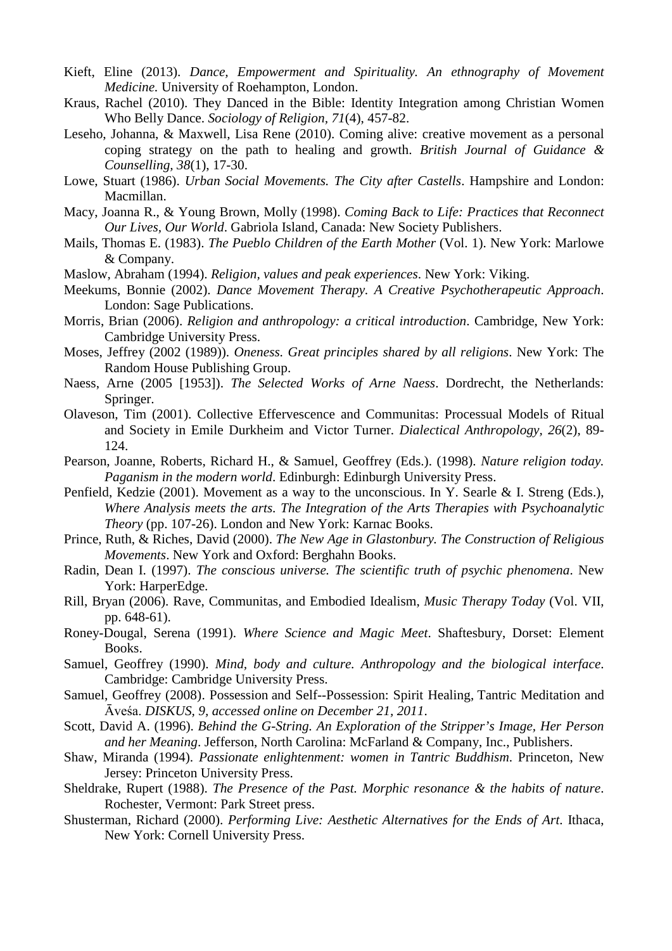- Kieft, Eline (2013). *Dance, Empowerment and Spirituality. An ethnography of Movement Medicine.* University of Roehampton, London.
- Kraus, Rachel (2010). They Danced in the Bible: Identity Integration among Christian Women Who Belly Dance. *Sociology of Religion, 71*(4), 457-82.
- Leseho, Johanna, & Maxwell, Lisa Rene (2010). Coming alive: creative movement as a personal coping strategy on the path to healing and growth. *British Journal of Guidance & Counselling, 38*(1), 17-30.
- Lowe, Stuart (1986). *Urban Social Movements. The City after Castells*. Hampshire and London: Macmillan.
- Macy, Joanna R., & Young Brown, Molly (1998). *Coming Back to Life: Practices that Reconnect Our Lives, Our World*. Gabriola Island, Canada: New Society Publishers.
- Mails, Thomas E. (1983). *The Pueblo Children of the Earth Mother* (Vol. 1). New York: Marlowe & Company.
- Maslow, Abraham (1994). *Religion, values and peak experiences*. New York: Viking.
- Meekums, Bonnie (2002). *Dance Movement Therapy. A Creative Psychotherapeutic Approach*. London: Sage Publications.
- Morris, Brian (2006). *Religion and anthropology: a critical introduction*. Cambridge, New York: Cambridge University Press.
- Moses, Jeffrey (2002 (1989)). *Oneness. Great principles shared by all religions*. New York: The Random House Publishing Group.
- Naess, Arne (2005 [1953]). *The Selected Works of Arne Naess*. Dordrecht, the Netherlands: Springer.
- Olaveson, Tim (2001). Collective Effervescence and Communitas: Processual Models of Ritual and Society in Emile Durkheim and Victor Turner. *Dialectical Anthropology, 26*(2), 89- 124.
- Pearson, Joanne, Roberts, Richard H., & Samuel, Geoffrey (Eds.). (1998). *Nature religion today. Paganism in the modern world*. Edinburgh: Edinburgh University Press.
- Penfield, Kedzie (2001). Movement as a way to the unconscious. In Y. Searle & I. Streng (Eds.), *Where Analysis meets the arts. The Integration of the Arts Therapies with Psychoanalytic Theory* (pp. 107-26). London and New York: Karnac Books.
- Prince, Ruth, & Riches, David (2000). *The New Age in Glastonbury. The Construction of Religious Movements*. New York and Oxford: Berghahn Books.
- Radin, Dean I. (1997). *The conscious universe. The scientific truth of psychic phenomena*. New York: HarperEdge.
- Rill, Bryan (2006). Rave, Communitas, and Embodied Idealism, *Music Therapy Today* (Vol. VII, pp. 648-61).
- Roney-Dougal, Serena (1991). *Where Science and Magic Meet*. Shaftesbury, Dorset: Element Books.
- Samuel, Geoffrey (1990). *Mind, body and culture. Anthropology and the biological interface*. Cambridge: Cambridge University Press.
- Samuel, Geoffrey (2008). Possession and Self--Possession: Spirit Healing, Tantric Meditation and Āveśa. *DISKUS, 9, accessed online on December 21, 2011*.
- Scott, David A. (1996). *Behind the G-String. An Exploration of the Stripper's Image, Her Person and her Meaning*. Jefferson, North Carolina: McFarland & Company, Inc., Publishers.
- Shaw, Miranda (1994). *Passionate enlightenment: women in Tantric Buddhism*. Princeton, New Jersey: Princeton University Press.
- Sheldrake, Rupert (1988). *The Presence of the Past. Morphic resonance & the habits of nature*. Rochester, Vermont: Park Street press.
- Shusterman, Richard (2000). *Performing Live: Aesthetic Alternatives for the Ends of Art*. Ithaca, New York: Cornell University Press.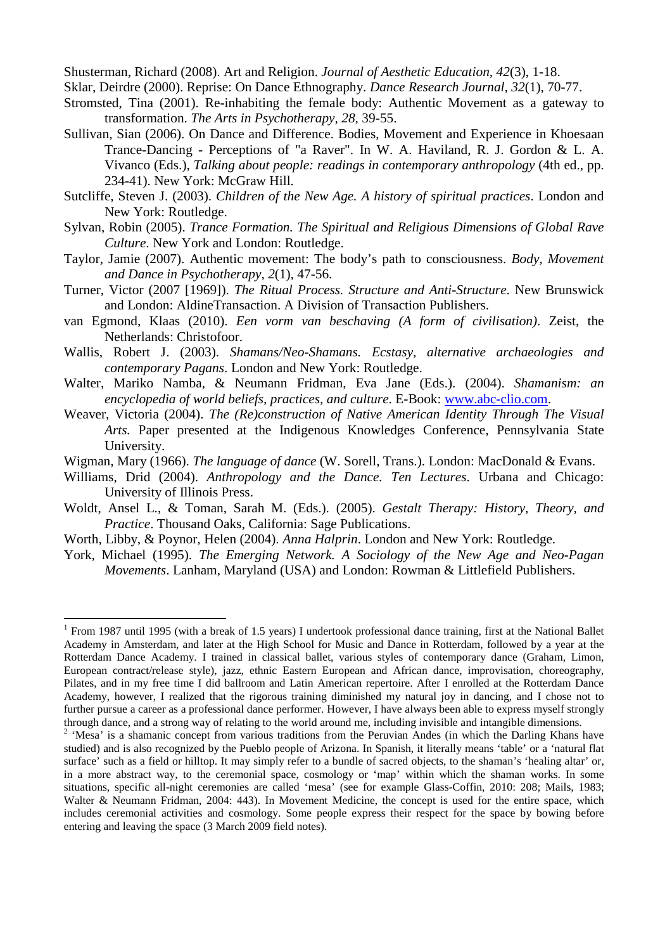Shusterman, Richard (2008). Art and Religion. *Journal of Aesthetic Education, 42*(3), 1-18.

- Sklar, Deirdre (2000). Reprise: On Dance Ethnography. *Dance Research Journal, 32*(1), 70-77.
- Stromsted, Tina (2001). Re-inhabiting the female body: Authentic Movement as a gateway to transformation. *The Arts in Psychotherapy, 28*, 39-55.
- Sullivan, Sian (2006). On Dance and Difference. Bodies, Movement and Experience in Khoesaan Trance-Dancing - Perceptions of "a Raver". In W. A. Haviland, R. J. Gordon & L. A. Vivanco (Eds.), *Talking about people: readings in contemporary anthropology* (4th ed., pp. 234-41). New York: McGraw Hill.
- Sutcliffe, Steven J. (2003). *Children of the New Age. A history of spiritual practices*. London and New York: Routledge.
- Sylvan, Robin (2005). *Trance Formation. The Spiritual and Religious Dimensions of Global Rave Culture*. New York and London: Routledge.
- Taylor, Jamie (2007). Authentic movement: The body's path to consciousness. *Body, Movement and Dance in Psychotherapy, 2*(1), 47-56.
- Turner, Victor (2007 [1969]). *The Ritual Process. Structure and Anti-Structure*. New Brunswick and London: AldineTransaction. A Division of Transaction Publishers.
- van Egmond, Klaas (2010). *Een vorm van beschaving (A form of civilisation)*. Zeist, the Netherlands: Christofoor.
- Wallis, Robert J. (2003). *Shamans/Neo-Shamans. Ecstasy, alternative archaeologies and contemporary Pagans*. London and New York: Routledge.
- Walter, Mariko Namba, & Neumann Fridman, Eva Jane (Eds.). (2004). *Shamanism: an encyclopedia of world beliefs, practices, and culture*. E-Book: [www.abc-clio.com.](http://www.abc-clio.com/)
- Weaver, Victoria (2004). *The (Re)construction of Native American Identity Through The Visual Arts.* Paper presented at the Indigenous Knowledges Conference, Pennsylvania State University.
- Wigman, Mary (1966). *The language of dance* (W. Sorell, Trans.). London: MacDonald & Evans.
- Williams, Drid (2004). *Anthropology and the Dance. Ten Lectures*. Urbana and Chicago: University of Illinois Press.
- Woldt, Ansel L., & Toman, Sarah M. (Eds.). (2005). *Gestalt Therapy: History, Theory, and Practice*. Thousand Oaks, California: Sage Publications.
- Worth, Libby, & Poynor, Helen (2004). *Anna Halprin*. London and New York: Routledge.

-

York, Michael (1995). *The Emerging Network. A Sociology of the New Age and Neo-Pagan Movements*. Lanham, Maryland (USA) and London: Rowman & Littlefield Publishers.

<sup>&</sup>lt;sup>1</sup> From 1987 until 1995 (with a break of 1.5 years) I undertook professional dance training, first at the National Ballet Academy in Amsterdam, and later at the High School for Music and Dance in Rotterdam, followed by a year at the Rotterdam Dance Academy. I trained in classical ballet, various styles of contemporary dance (Graham, Limon, European contract/release style), jazz, ethnic Eastern European and African dance, improvisation, choreography, Pilates, and in my free time I did ballroom and Latin American repertoire. After I enrolled at the Rotterdam Dance Academy, however, I realized that the rigorous training diminished my natural joy in dancing, and I chose not to further pursue a career as a professional dance performer. However, I have always been able to express myself strongly through dance, and a strong way of relating to the world around me, including invisible and intangible dimensions.<br><sup>2</sup> 'Mesa' is a shamanic concept from various traditions from the Peruvian Andes (in which the Darling Khan

studied) and is also recognized by the Pueblo people of Arizona. In Spanish, it literally means 'table' or a 'natural flat surface' such as a field or hilltop. It may simply refer to a bundle of sacred objects, to the shaman's 'healing altar' or, in a more abstract way, to the ceremonial space, cosmology or 'map' within which the shaman works. In some situations, specific all-night ceremonies are called 'mesa' (see for example Glass-Coffin, 2010: 208; Mails, 1983; Walter & Neumann Fridman, 2004: 443). In Movement Medicine, the concept is used for the entire space, which includes ceremonial activities and cosmology. Some people express their respect for the space by bowing before entering and leaving the space (3 March 2009 field notes).